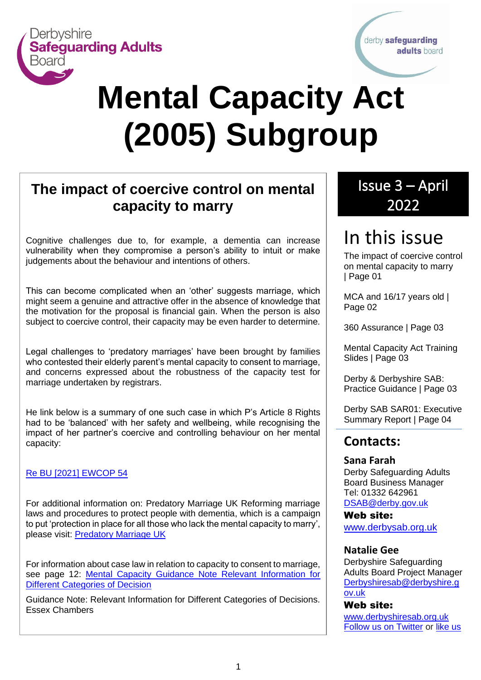

derby safeguarding adults board

# **Mental Capacity Act (2005) Subgroup**

# **The impact of coercive control on mental capacity to marry** <u>ive control on montal</u>

Cognitive challenges due to, for example, a dementia can increase vulnerability when they compromise a person's ability to intuit or make judgements about the behaviour and intentions of others.

This can become complicated when an 'other' suggests marriage, which might seem a genuine and attractive offer in the absence of knowledge that the motivation for the proposal is financial gain. When the person is also subject to coercive control, their capacity may be even harder to determine.

Legal challenges to 'predatory marriages' have been brought by families who contested their elderly parent's mental capacity to consent to marriage, and concerns expressed about the robustness of the capacity test for marriage undertaken by registrars.

He link below is a summary of one such case in which P's Article 8 Rights had to be 'balanced' with her safety and wellbeing, while recognising the impact of her partner's coercive and controlling behaviour on her mental capacity:

#### [Re BU \[2021\]](https://www.mentalhealthlaw.co.uk/Re_BU_(2021)_EWCOP_54) EWCOP 54

For additional information on: Predatory Marriage UK Reforming marriage laws and procedures to protect people with dementia, which is a campaign to put 'protection in place for all those who lack the mental capacity to marry', please visit: [Predatory Marriage UK](https://www.predatorymarriage.uk/)

For information about case law in relation to capacity to consent to marriage, see page 12: [Mental Capacity Guidance Note Relevant Information for](https://1f2ca7mxjow42e65q49871m1-wpengine.netdna-ssl.com/wp-content/uploads/2021/05/Mental-Capacity-Guidance-Note-Relevant-Information-for-Different-Categories-of-Decision-1.pdf)  Different [Categories of Decision](https://1f2ca7mxjow42e65q49871m1-wpengine.netdna-ssl.com/wp-content/uploads/2021/05/Mental-Capacity-Guidance-Note-Relevant-Information-for-Different-Categories-of-Decision-1.pdf)

Guidance Note: Relevant Information for Different Categories of Decisions. Essex Chambers

# Issue 3 – April 2022

# In this issue

The impact of coercive control on mental capacity to marry | Page 01

MCA and 16/17 years old | Page 02

360 Assurance | Page 03

Mental Capacity Act Training Slides | Page 03

Derby & Derbyshire SAB: Practice Guidance | Page 03

Derby SAB SAR01: Executive Summary Report | Page 04

#### **Contacts:**

#### **Sana Farah**

Derby Safeguarding Adults Board Business Manager Tel: 01332 642961 [DSAB@derby.gov.uk](mailto:DSAB@derby.gov.uk)

Web site: [www.derbysab.org.uk](http://www.derbysab.org.uk/)

#### **Natalie Gee**

Derbyshire Safeguarding Adults Board Project Manager [Derbyshiresab@derbyshire.g](mailto:Derbyshiresab@derbyshire.gov.uk) [ov.uk](mailto:Derbyshiresab@derbyshire.gov.uk)

#### Web site:

[www.derbyshiresab.org.uk](http://www.derbyshiresab.org.uk/) [Follow us on Twitter](https://twitter.com/derbyshiresab) or [like us](https://www.facebook.com/DerbyshireSAB)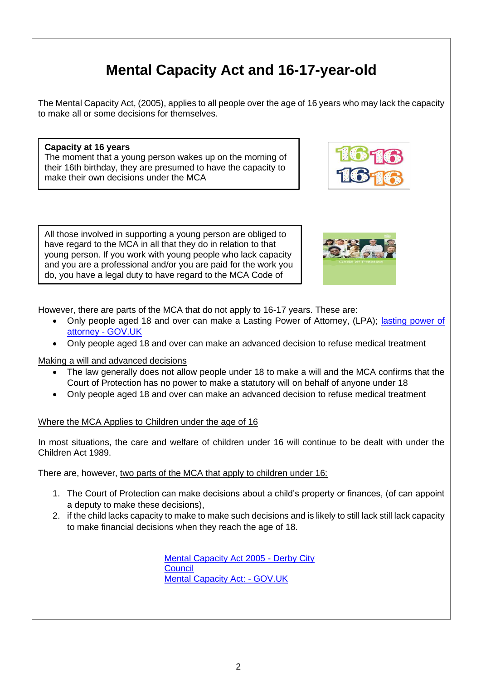# **Mental Capacity Act and 16-17-year-old**

The Mental Capacity Act, (2005), applies to all people over the age of 16 years who may lack the capacity to make all or some decisions for themselves.

**Capacity at 16 years** The moment that a young person wakes up on the morning of their 16th birthday, they are presumed to have the capacity to make their own decisions under the MCA







However, there are parts of the MCA that do not apply to 16-17 years. These are:

- Only people aged 18 and over can make a Lasting Power of Attorney, (LPA); lasting power of [attorney -](https://www.gov.uk/use-lasting-power-of-attorney) GOV.UK
- Only people aged 18 and over can make an advanced decision to refuse medical treatment

Making a will and advanced decisions

Practice.

- The law generally does not allow people under 18 to make a will and the MCA confirms that the Court of Protection has no power to make a statutory will on behalf of anyone under 18
- Only people aged 18 and over can make an advanced decision to refuse medical treatment

Where the MCA Applies to Children under the age of 16

In most situations, the care and welfare of children under 16 will continue to be dealt with under the Children Act 1989.

There are, however, two parts of the MCA that apply to children under 16:

- 1. The Court of Protection can make decisions about a child's property or finances, (of can appoint a deputy to make these decisions),
- 2. if the child lacks capacity to make to make such decisions and is likely to still lack still lack capacity to make financial decisions when they reach the age of 18.

Mental Capacity Act 2005 - Derby City **Council** Mental Capacity Act: - GOV.UK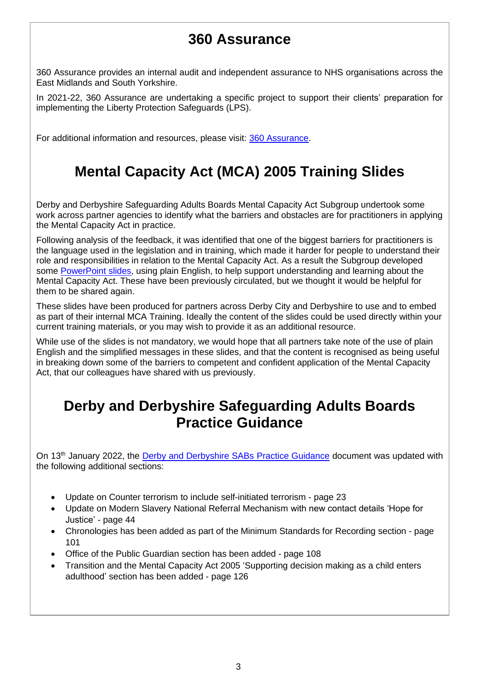# **360 Assurance**

360 Assurance provides an internal audit and independent assurance to NHS organisations across the East Midlands and South Yorkshire.

In 2021-22, 360 Assurance are undertaking a specific project to support their clients' preparation for implementing the Liberty Protection Safeguards (LPS).

For additional information and resources, please visit: [360 Assurance.](https://www.360assurance.co.uk/services/clinical-quality/lps/)

# **Mental Capacity Act (MCA) 2005 Training Slides**

Derby and Derbyshire Safeguarding Adults Boards Mental Capacity Act Subgroup undertook some work across partner agencies to identify what the barriers and obstacles are for practitioners in applying the Mental Capacity Act in practice.

Following analysis of the feedback, it was identified that one of the biggest barriers for practitioners is the language used in the legislation and in training, which made it harder for people to understand their role and responsibilities in relation to the Mental Capacity Act. As a result the Subgroup developed some [PowerPoint slides,](https://www.derbysab.org.uk/media/derby-sab/content-assets/documents/mca-2005-training-slides.pdf) using plain English, to help support understanding and learning about the Mental Capacity Act. These have been previously circulated, but we thought it would be helpful for them to be shared again.

These slides have been produced for partners across Derby City and Derbyshire to use and to embed as part of their internal MCA Training. Ideally the content of the slides could be used directly within your current training materials, or you may wish to provide it as an additional resource.

While use of the slides is not mandatory, we would hope that all partners take note of the use of plain English and the simplified messages in these slides, and that the content is recognised as being useful in breaking down some of the barriers to competent and confident application of the Mental Capacity Act, that our colleagues have shared with us previously.

### **Derby and Derbyshire Safeguarding Adults Boards Practice Guidance**

On 13<sup>th</sup> Januarv 2022, the [Derby and Derbyshire SABs Practice Guidance](https://www.derbyshiresab.org.uk/site-elements/documents/pdf/derbyshire-and-derby-safeguarding-adults-boards-practice-guidance.pdf) document was updated with the following additional sections:

- Update on Counter terrorism to include self-initiated terrorism page 23
- Update on Modern Slavery National Referral Mechanism with new contact details 'Hope for Justice' - page 44
- Chronologies has been added as part of the Minimum Standards for Recording section page 101
- Office of the Public Guardian section has been added page 108
- Transition and the Mental Capacity Act 2005 'Supporting decision making as a child enters adulthood' section has been added - page 126